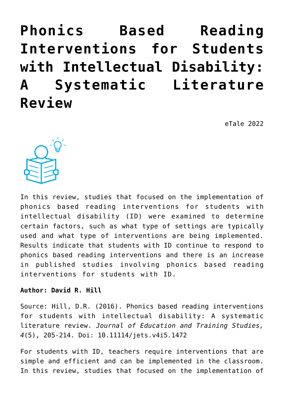# **[Phonics Based Reading](https://dev.taleafrica.com/2021/04/01/phonics-based-reading-interventions-for-students-with-intellectual-disability-a-systematic-literature-review/) [Interventions for Students](https://dev.taleafrica.com/2021/04/01/phonics-based-reading-interventions-for-students-with-intellectual-disability-a-systematic-literature-review/) [with Intellectual Disability:](https://dev.taleafrica.com/2021/04/01/phonics-based-reading-interventions-for-students-with-intellectual-disability-a-systematic-literature-review/) [A Systematic Literature](https://dev.taleafrica.com/2021/04/01/phonics-based-reading-interventions-for-students-with-intellectual-disability-a-systematic-literature-review/) [Review](https://dev.taleafrica.com/2021/04/01/phonics-based-reading-interventions-for-students-with-intellectual-disability-a-systematic-literature-review/)**

eTale 2022



In this review, studies that focused on the implementation of phonics based reading interventions for students with intellectual disability (ID) were examined to determine certain factors, such as what type of settings are typically used and what type of interventions are being implemented. Results indicate that students with ID continue to respond to phonics based reading interventions and there is an increase in published studies involving phonics based reading interventions for students with ID.

#### **Author: David R. Hill**

Source: Hill, D.R. (2016). Phonics based reading interventions for students with intellectual disability: A systematic literature review. *Journal of Education and Training Studies, 4*(5), 205-214. Doi: 10.11114/jets.v4i5.1472

For students with ID, teachers require interventions that are simple and efficient and can be implemented in the classroom. In this review, studies that focused on the implementation of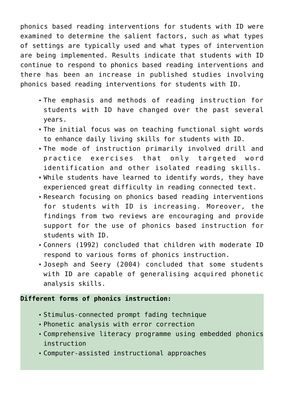phonics based reading interventions for students with ID were examined to determine the salient factors, such as what types of settings are typically used and what types of intervention are being implemented. Results indicate that students with ID continue to respond to phonics based reading interventions and there has been an increase in published studies involving phonics based reading interventions for students with ID.

- The emphasis and methods of reading instruction for students with ID have changed over the past several years.
- The initial focus was on teaching functional sight words to enhance daily living skills for students with ID.
- The mode of instruction primarily involved drill and practice exercises that only targeted word identification and other isolated reading skills.
- While students have learned to identify words, they have experienced great difficulty in reading connected text.
- Research focusing on phonics based reading interventions for students with ID is increasing. Moreover, the findings from two reviews are encouraging and provide support for the use of phonics based instruction for students with ID.
- Conners (1992) concluded that children with moderate ID respond to various forms of phonics instruction.
- Joseph and Seery (2004) concluded that some students with ID are capable of generalising acquired phonetic analysis skills.

## **Different forms of phonics instruction:**

- Stimulus-connected prompt fading technique
- Phonetic analysis with error correction
- Comprehensive literacy programme using embedded phonics instruction
- Computer-assisted instructional approaches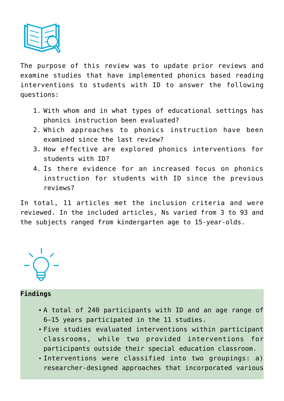

The purpose of this review was to update prior reviews and examine studies that have implemented phonics based reading interventions to students with ID to answer the following questions:

- 1. With whom and in what types of educational settings has phonics instruction been evaluated?
- 2. Which approaches to phonics instruction have been examined since the last review?
- 3. How effective are explored phonics interventions for students with ID?
- 4. Is there evidence for an increased focus on phonics instruction for students with ID since the previous reviews?

In total, 11 articles met the inclusion criteria and were reviewed. In the included articles, Ns varied from 3 to 93 and the subjects ranged from kindergarten age to 15-year-olds.

## **Findings**

- A total of 240 participants with ID and an age range of 6–15 years participated in the 11 studies.
- Five studies evaluated interventions within participant classrooms, while two provided interventions for participants outside their special education classroom.
- Interventions were classified into two groupings: a) researcher-designed approaches that incorporated various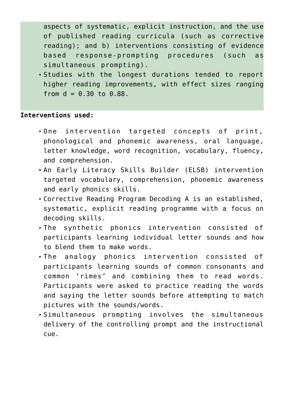aspects of systematic, explicit instruction, and the use of published reading curricula (such as corrective reading); and b) interventions consisting of evidence based response-prompting procedures (such as simultaneous prompting).

Studies with the longest durations tended to report higher reading improvements, with effect sizes ranging from  $d = 0.30$  to  $0.88$ .

## **Interventions used:**

- One intervention targeted concepts of print, phonological and phonemic awareness, oral language, letter knowledge, word recognition, vocabulary, fluency, and comprehension.
- An Early Literacy Skills Builder (ELSB) intervention targeted vocabulary, comprehension, phonemic awareness and early phonics skills.
- Corrective Reading Program Decoding A is an established, systematic, explicit reading programme with a focus on decoding skills.
- The synthetic phonics intervention consisted of participants learning individual letter sounds and how to blend them to make words.
- The analogy phonics intervention consisted of participants learning sounds of common consonants and common 'rimes' and combining them to read words. Participants were asked to practice reading the words and saying the letter sounds before attempting to match pictures with the sounds/words.
- Simultaneous prompting involves the simultaneous delivery of the controlling prompt and the instructional cue.